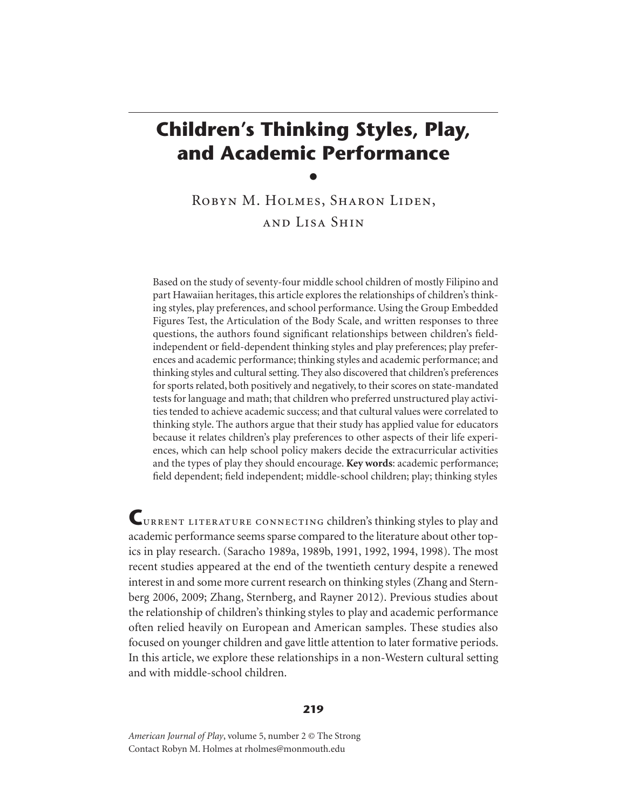# **Children's Thinking Styles, Play, and Academic Performance**

 $\bullet$ ROBYN M. HOLMES, SHARON LIDEN, and Lisa Shin

Based on the study of seventy-four middle school children of mostly Filipino and part Hawaiian heritages, this article explores the relationships of children's thinking styles, play preferences, and school performance. Using the Group Embedded Figures Test, the Articulation of the Body Scale, and written responses to three questions, the authors found significant relationships between children's fieldindependent or field-dependent thinking styles and play preferences; play preferences and academic performance; thinking styles and academic performance; and thinking styles and cultural setting. They also discovered that children's preferences for sports related, both positively and negatively, to their scores on state-mandated tests for language and math; that children who preferred unstructured play activities tended to achieve academic success; and that cultural values were correlated to thinking style. The authors argue that their study has applied value for educators because it relates children's play preferences to other aspects of their life experiences, which can help school policy makers decide the extracurricular activities and the types of play they should encourage. **Key words**: academic performance; field dependent; field independent; middle-school children; play; thinking styles

**C**urrent literature connecting children's thinking styles to play and academic performance seems sparse compared to the literature about other topics in play research. (Saracho 1989a, 1989b, 1991, 1992, 1994, 1998). The most recent studies appeared at the end of the twentieth century despite a renewed interest in and some more current research on thinking styles (Zhang and Sternberg 2006, 2009; Zhang, Sternberg, and Rayner 2012). Previous studies about the relationship of children's thinking styles to play and academic performance often relied heavily on European and American samples. These studies also focused on younger children and gave little attention to later formative periods. In this article, we explore these relationships in a non-Western cultural setting and with middle-school children.

*American Journal of Play*, volume 5, number 2 © The Strong Contact Robyn M. Holmes at rholmes@monmouth.edu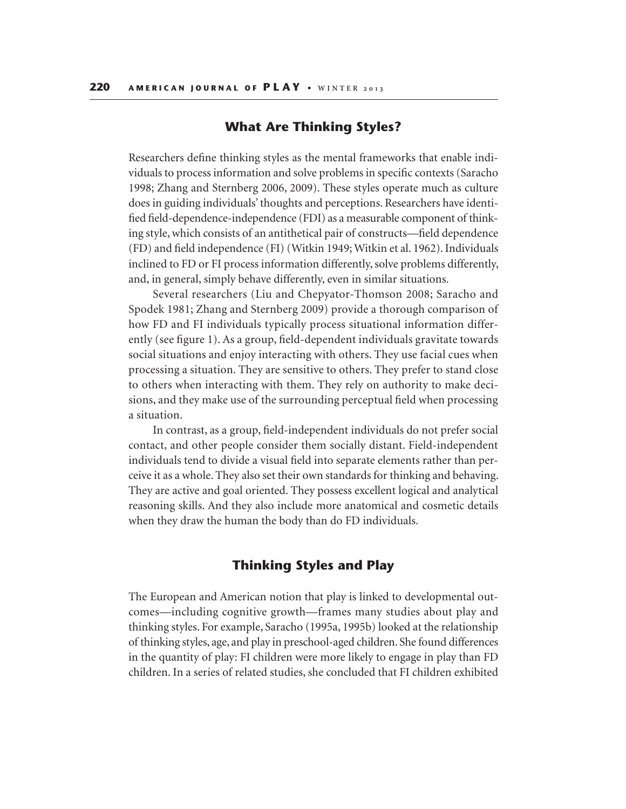## **What Are Thinking Styles?**

Researchers define thinking styles as the mental frameworks that enable individuals to process information and solve problems in specific contexts (Saracho 1998; Zhang and Sternberg 2006, 2009). These styles operate much as culture does in guiding individuals' thoughts and perceptions. Researchers have identified field-dependence-independence (FDI) as a measurable component of thinking style, which consists of an antithetical pair of constructs—field dependence (FD) and field independence (FI) (Witkin 1949; Witkin et al. 1962). Individuals inclined to FD or FI process information differently, solve problems differently, and, in general, simply behave differently, even in similar situations.

Several researchers (Liu and Chepyator-Thomson 2008; Saracho and Spodek 1981; Zhang and Sternberg 2009) provide a thorough comparison of how FD and FI individuals typically process situational information differently (see figure 1). As a group, field-dependent individuals gravitate towards social situations and enjoy interacting with others. They use facial cues when processing a situation. They are sensitive to others. They prefer to stand close to others when interacting with them. They rely on authority to make decisions, and they make use of the surrounding perceptual field when processing a situation.

In contrast, as a group, field-independent individuals do not prefer social contact, and other people consider them socially distant. Field-independent individuals tend to divide a visual field into separate elements rather than perceive it as a whole. They also set their own standards for thinking and behaving. They are active and goal oriented. They possess excellent logical and analytical reasoning skills. And they also include more anatomical and cosmetic details when they draw the human the body than do FD individuals.

## **Thinking Styles and Play**

The European and American notion that play is linked to developmental outcomes—including cognitive growth—frames many studies about play and thinking styles. For example, Saracho (1995a, 1995b) looked at the relationship of thinking styles, age, and play in preschool-aged children. She found differences in the quantity of play: FI children were more likely to engage in play than FD children. In a series of related studies, she concluded that FI children exhibited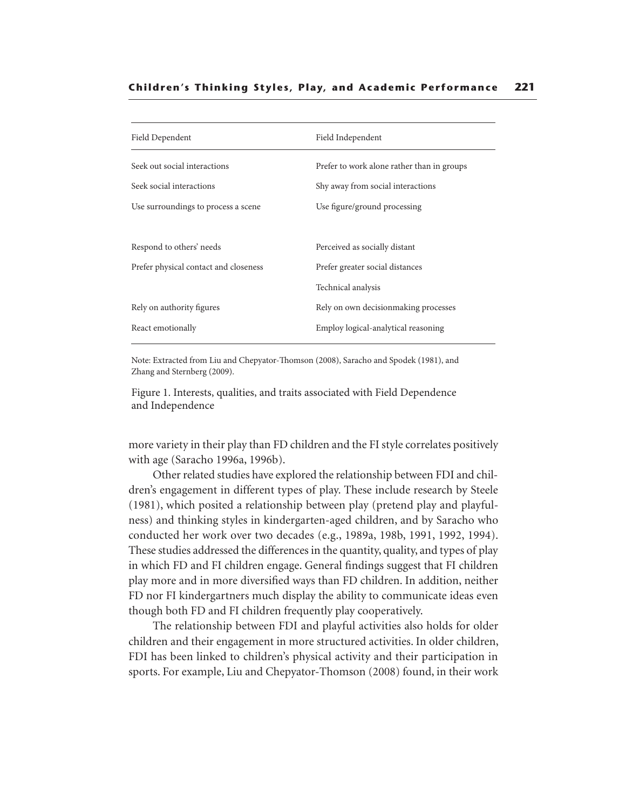| Field Dependent                       | Field Independent                          |  |
|---------------------------------------|--------------------------------------------|--|
| Seek out social interactions          | Prefer to work alone rather than in groups |  |
| Seek social interactions              | Shy away from social interactions          |  |
| Use surroundings to process a scene   | Use figure/ground processing               |  |
| Respond to others' needs              | Perceived as socially distant              |  |
| Prefer physical contact and closeness | Prefer greater social distances            |  |
|                                       | Technical analysis                         |  |
| Rely on authority figures             | Rely on own decision making processes      |  |
| React emotionally                     | Employ logical-analytical reasoning        |  |
|                                       |                                            |  |

Note: Extracted from Liu and Chepyator-Thomson (2008), Saracho and Spodek (1981), and Zhang and Sternberg (2009).

Figure 1. Interests, qualities, and traits associated with Field Dependence and Independence

more variety in their play than FD children and the FI style correlates positively with age (Saracho 1996a, 1996b).

Other related studies have explored the relationship between FDI and children's engagement in different types of play. These include research by Steele (1981), which posited a relationship between play (pretend play and playfulness) and thinking styles in kindergarten-aged children, and by Saracho who conducted her work over two decades (e.g., 1989a, 198b, 1991, 1992, 1994). These studies addressed the differences in the quantity, quality, and types of play in which FD and FI children engage. General findings suggest that FI children play more and in more diversified ways than FD children. In addition, neither FD nor FI kindergartners much display the ability to communicate ideas even though both FD and FI children frequently play cooperatively.

The relationship between FDI and playful activities also holds for older children and their engagement in more structured activities. In older children, FDI has been linked to children's physical activity and their participation in sports. For example, Liu and Chepyator-Thomson (2008) found, in their work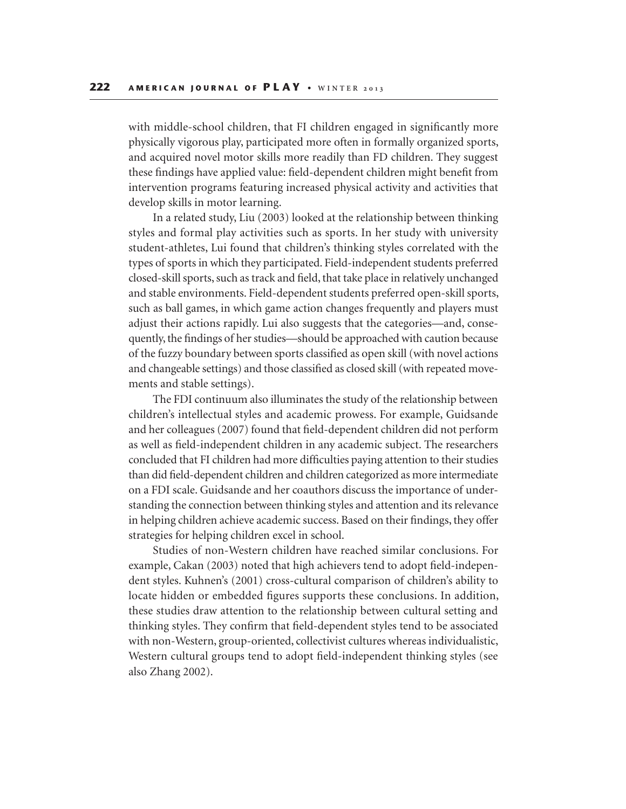with middle-school children, that FI children engaged in significantly more physically vigorous play, participated more often in formally organized sports, and acquired novel motor skills more readily than FD children. They suggest these findings have applied value: field-dependent children might benefit from intervention programs featuring increased physical activity and activities that develop skills in motor learning.

In a related study, Liu (2003) looked at the relationship between thinking styles and formal play activities such as sports. In her study with university student-athletes, Lui found that children's thinking styles correlated with the types of sports in which they participated. Field-independent students preferred closed-skill sports, such as track and field, that take place in relatively unchanged and stable environments. Field-dependent students preferred open-skill sports, such as ball games, in which game action changes frequently and players must adjust their actions rapidly. Lui also suggests that the categories—and, consequently, the findings of her studies—should be approached with caution because of the fuzzy boundary between sports classified as open skill (with novel actions and changeable settings) and those classified as closed skill (with repeated movements and stable settings).

The FDI continuum also illuminates the study of the relationship between children's intellectual styles and academic prowess. For example, Guidsande and her colleagues (2007) found that field-dependent children did not perform as well as field-independent children in any academic subject. The researchers concluded that FI children had more difficulties paying attention to their studies than did field-dependent children and children categorized as more intermediate on a FDI scale. Guidsande and her coauthors discuss the importance of understanding the connection between thinking styles and attention and its relevance in helping children achieve academic success. Based on their findings, they offer strategies for helping children excel in school.

Studies of non-Western children have reached similar conclusions. For example, Cakan (2003) noted that high achievers tend to adopt field-independent styles. Kuhnen's (2001) cross-cultural comparison of children's ability to locate hidden or embedded figures supports these conclusions. In addition, these studies draw attention to the relationship between cultural setting and thinking styles. They confirm that field-dependent styles tend to be associated with non-Western, group-oriented, collectivist cultures whereas individualistic, Western cultural groups tend to adopt field-independent thinking styles (see also Zhang 2002).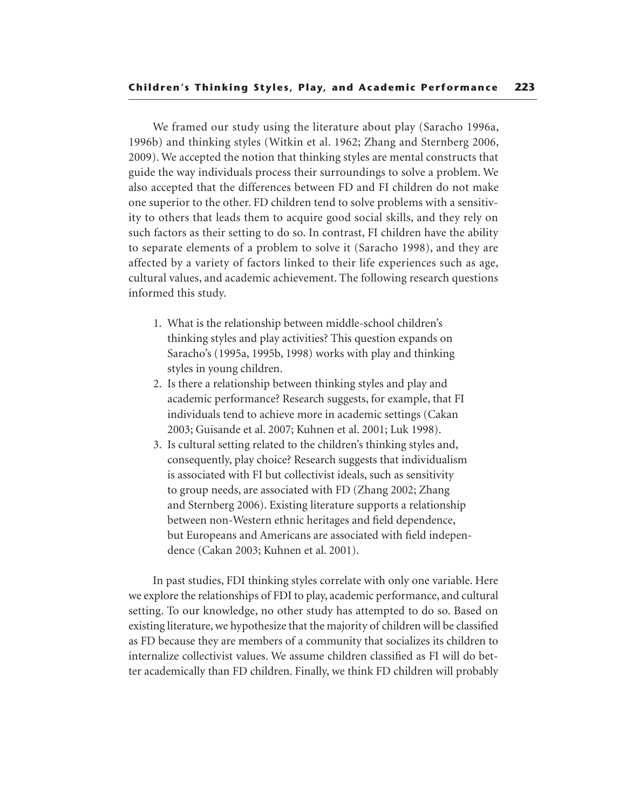We framed our study using the literature about play (Saracho 1996a, 1996b) and thinking styles (Witkin et al. 1962; Zhang and Sternberg 2006, 2009). We accepted the notion that thinking styles are mental constructs that guide the way individuals process their surroundings to solve a problem. We also accepted that the differences between FD and FI children do not make one superior to the other. FD children tend to solve problems with a sensitivity to others that leads them to acquire good social skills, and they rely on such factors as their setting to do so. In contrast, FI children have the ability to separate elements of a problem to solve it (Saracho 1998), and they are affected by a variety of factors linked to their life experiences such as age, cultural values, and academic achievement. The following research questions informed this study.

- 1. What is the relationship between middle-school children's thinking styles and play activities? This question expands on Saracho's (1995a, 1995b, 1998) works with play and thinking styles in young children.
- 2. Is there a relationship between thinking styles and play and academic performance? Research suggests, for example, that FI individuals tend to achieve more in academic settings (Cakan 2003; Guisande et al. 2007; Kuhnen et al. 2001; Luk 1998).
- 3. Is cultural setting related to the children's thinking styles and, consequently, play choice? Research suggests that individualism is associated with FI but collectivist ideals, such as sensitivity to group needs, are associated with FD (Zhang 2002; Zhang and Sternberg 2006). Existing literature supports a relationship between non-Western ethnic heritages and field dependence, but Europeans and Americans are associated with field independence (Cakan 2003; Kuhnen et al. 2001).

In past studies, FDI thinking styles correlate with only one variable. Here we explore the relationships of FDI to play, academic performance, and cultural setting. To our knowledge, no other study has attempted to do so. Based on existing literature, we hypothesize that the majority of children will be classified as FD because they are members of a community that socializes its children to internalize collectivist values. We assume children classified as FI will do better academically than FD children. Finally, we think FD children will probably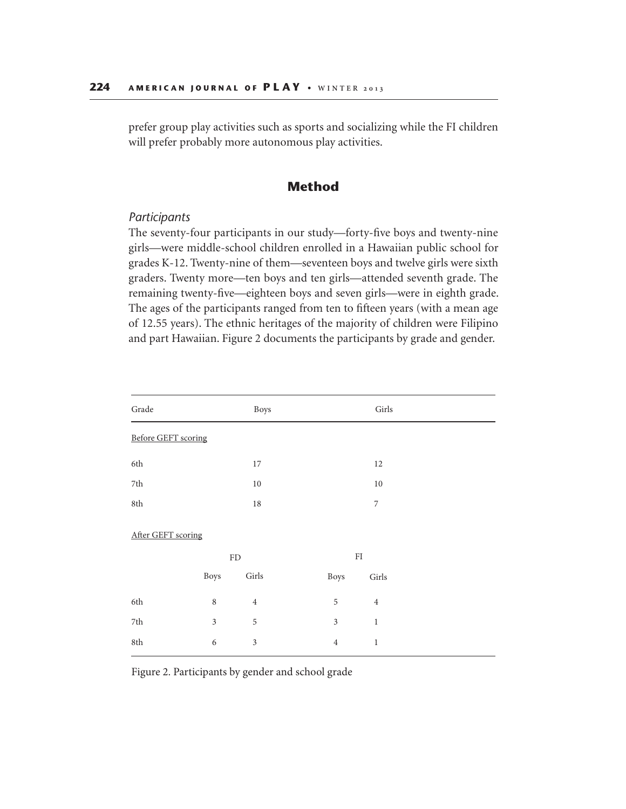prefer group play activities such as sports and socializing while the FI children will prefer probably more autonomous play activities.

# **Method**

#### *Participants*

The seventy-four participants in our study—forty-five boys and twenty-nine girls—were middle-school children enrolled in a Hawaiian public school for grades K-12. Twenty-nine of them—seventeen boys and twelve girls were sixth graders. Twenty more—ten boys and ten girls—attended seventh grade. The remaining twenty-five—eighteen boys and seven girls—were in eighth grade. The ages of the participants ranged from ten to fifteen years (with a mean age of 12.55 years). The ethnic heritages of the majority of children were Filipino and part Hawaiian. Figure 2 documents the participants by grade and gender.

| $\operatorname{Grade}$     |                | Boys       |                | $\operatorname{Girls}$ |
|----------------------------|----------------|------------|----------------|------------------------|
| <b>Before GEFT scoring</b> |                |            |                |                        |
| 6th                        |                | 17         |                | $12\,$                 |
| $7\mathrm{th}$             |                | $10\,$     |                | $10\,$                 |
| $8{\rm th}$                |                | $18\,$     |                | $\boldsymbol{7}$       |
| After GEFT scoring         |                | ${\rm FD}$ |                | ${\rm FI}$             |
|                            | <b>Boys</b>    | Girls      | Boys           | Girls                  |
| 6th                        | $\,8\,$        | $\,4$      | 5              | $\,4$                  |
| $7\mathrm{th}$             | $\mathfrak{Z}$ | 5          | $\mathfrak{Z}$ | $\,1\,$                |
| 8th                        | $\sqrt{6}$     | 3          | $\overline{4}$ | $\,1$                  |

Figure 2. Participants by gender and school grade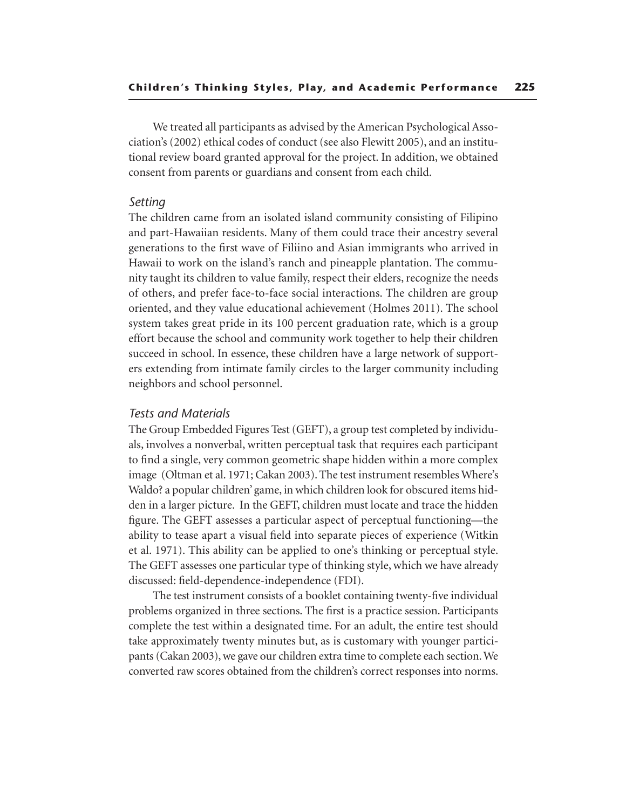We treated all participants as advised by the American Psychological Association's (2002) ethical codes of conduct (see also Flewitt 2005), and an institutional review board granted approval for the project. In addition, we obtained consent from parents or guardians and consent from each child.

#### *Setting*

The children came from an isolated island community consisting of Filipino and part-Hawaiian residents. Many of them could trace their ancestry several generations to the first wave of Filiino and Asian immigrants who arrived in Hawaii to work on the island's ranch and pineapple plantation. The community taught its children to value family, respect their elders, recognize the needs of others, and prefer face-to-face social interactions. The children are group oriented, and they value educational achievement (Holmes 2011). The school system takes great pride in its 100 percent graduation rate, which is a group effort because the school and community work together to help their children succeed in school. In essence, these children have a large network of supporters extending from intimate family circles to the larger community including neighbors and school personnel.

#### *Tests and Materials*

The Group Embedded Figures Test (GEFT), a group test completed by individuals, involves a nonverbal, written perceptual task that requires each participant to find a single, very common geometric shape hidden within a more complex image (Oltman et al. 1971; Cakan 2003). The test instrument resembles Where's Waldo? a popular children' game, in which children look for obscured items hidden in a larger picture. In the GEFT, children must locate and trace the hidden figure. The GEFT assesses a particular aspect of perceptual functioning—the ability to tease apart a visual field into separate pieces of experience (Witkin et al. 1971). This ability can be applied to one's thinking or perceptual style. The GEFT assesses one particular type of thinking style, which we have already discussed: field-dependence-independence (FDI).

The test instrument consists of a booklet containing twenty-five individual problems organized in three sections. The first is a practice session. Participants complete the test within a designated time. For an adult, the entire test should take approximately twenty minutes but, as is customary with younger participants (Cakan 2003), we gave our children extra time to complete each section. We converted raw scores obtained from the children's correct responses into norms.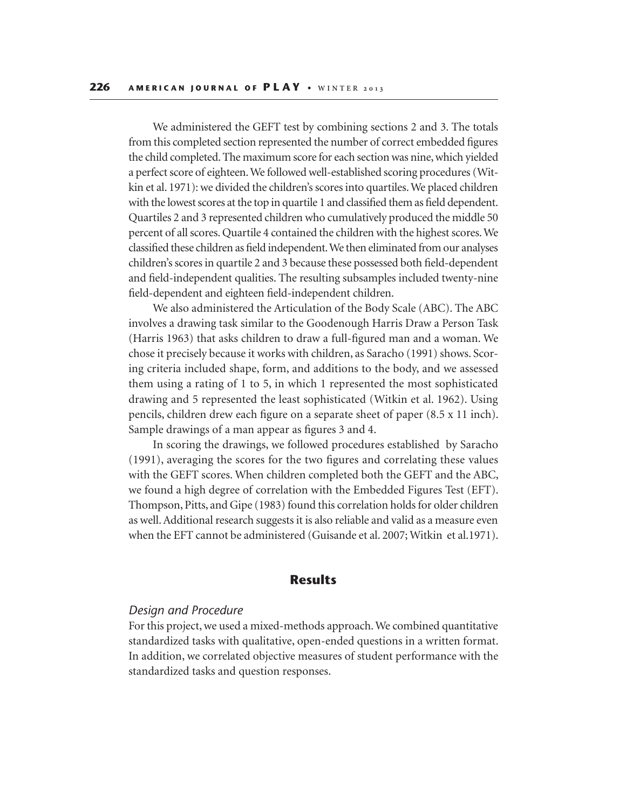We administered the GEFT test by combining sections 2 and 3. The totals from this completed section represented the number of correct embedded figures the child completed. The maximum score for each section was nine, which yielded a perfect score of eighteen. We followed well-established scoring procedures (Witkin et al. 1971): we divided the children's scores into quartiles. We placed children with the lowest scores at the top in quartile 1 and classified them as field dependent. Quartiles 2 and 3 represented children who cumulatively produced the middle 50 percent of all scores. Quartile 4 contained the children with the highest scores. We classified these children as field independent. We then eliminated from our analyses children's scores in quartile 2 and 3 because these possessed both field-dependent and field-independent qualities. The resulting subsamples included twenty-nine field-dependent and eighteen field-independent children.

We also administered the Articulation of the Body Scale (ABC). The ABC involves a drawing task similar to the Goodenough Harris Draw a Person Task (Harris 1963) that asks children to draw a full-figured man and a woman. We chose it precisely because it works with children, as Saracho (1991) shows. Scoring criteria included shape, form, and additions to the body, and we assessed them using a rating of 1 to 5, in which 1 represented the most sophisticated drawing and 5 represented the least sophisticated (Witkin et al. 1962). Using pencils, children drew each figure on a separate sheet of paper (8.5 x 11 inch). Sample drawings of a man appear as figures 3 and 4.

In scoring the drawings, we followed procedures established by Saracho (1991), averaging the scores for the two figures and correlating these values with the GEFT scores. When children completed both the GEFT and the ABC, we found a high degree of correlation with the Embedded Figures Test (EFT). Thompson, Pitts, and Gipe (1983) found this correlation holds for older children as well. Additional research suggests it is also reliable and valid as a measure even when the EFT cannot be administered (Guisande et al. 2007; Witkin et al.1971).

### **Results**

#### *Design and Procedure*

For this project, we used a mixed-methods approach. We combined quantitative standardized tasks with qualitative, open-ended questions in a written format. In addition, we correlated objective measures of student performance with the standardized tasks and question responses.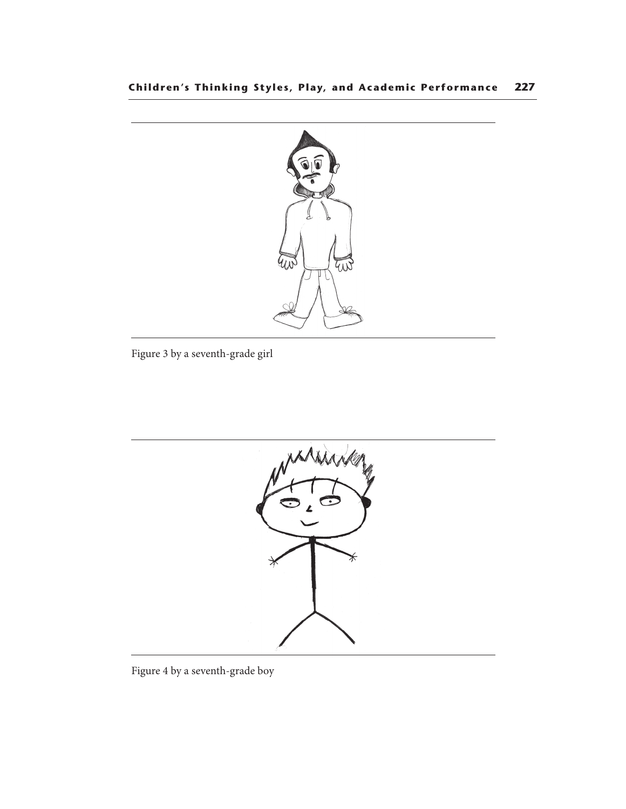

Figure 3 by a seventh-grade girl



Figure 4 by a seventh-grade boy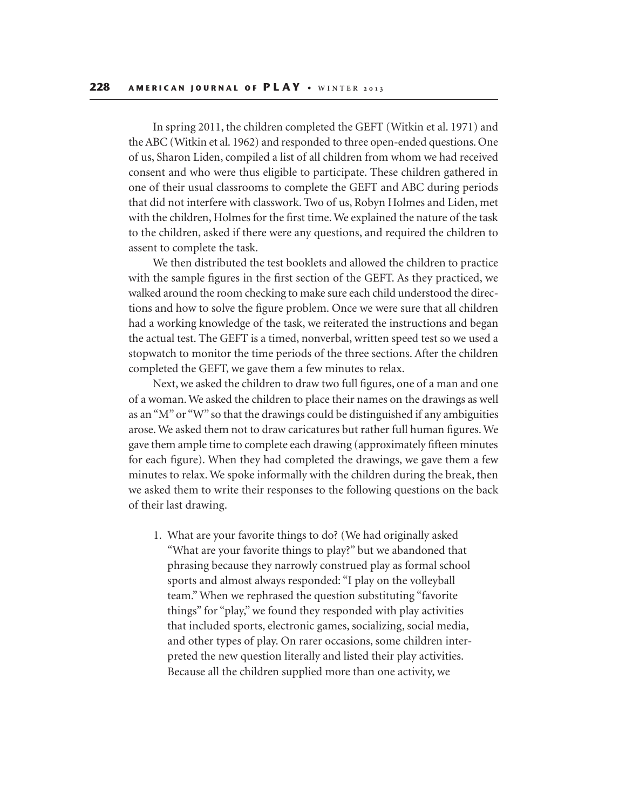In spring 2011, the children completed the GEFT (Witkin et al. 1971) and the ABC (Witkin et al. 1962) and responded to three open-ended questions. One of us, Sharon Liden, compiled a list of all children from whom we had received consent and who were thus eligible to participate. These children gathered in one of their usual classrooms to complete the GEFT and ABC during periods that did not interfere with classwork. Two of us, Robyn Holmes and Liden, met with the children, Holmes for the first time. We explained the nature of the task to the children, asked if there were any questions, and required the children to assent to complete the task.

We then distributed the test booklets and allowed the children to practice with the sample figures in the first section of the GEFT. As they practiced, we walked around the room checking to make sure each child understood the directions and how to solve the figure problem. Once we were sure that all children had a working knowledge of the task, we reiterated the instructions and began the actual test. The GEFT is a timed, nonverbal, written speed test so we used a stopwatch to monitor the time periods of the three sections. After the children completed the GEFT, we gave them a few minutes to relax.

Next, we asked the children to draw two full figures, one of a man and one of a woman. We asked the children to place their names on the drawings as well as an "M" or "W" so that the drawings could be distinguished if any ambiguities arose. We asked them not to draw caricatures but rather full human figures. We gave them ample time to complete each drawing (approximately fifteen minutes for each figure). When they had completed the drawings, we gave them a few minutes to relax. We spoke informally with the children during the break, then we asked them to write their responses to the following questions on the back of their last drawing.

1. What are your favorite things to do? (We had originally asked "What are your favorite things to play?" but we abandoned that phrasing because they narrowly construed play as formal school sports and almost always responded: "I play on the volleyball team." When we rephrased the question substituting "favorite things" for "play," we found they responded with play activities that included sports, electronic games, socializing, social media, and other types of play. On rarer occasions, some children interpreted the new question literally and listed their play activities. Because all the children supplied more than one activity, we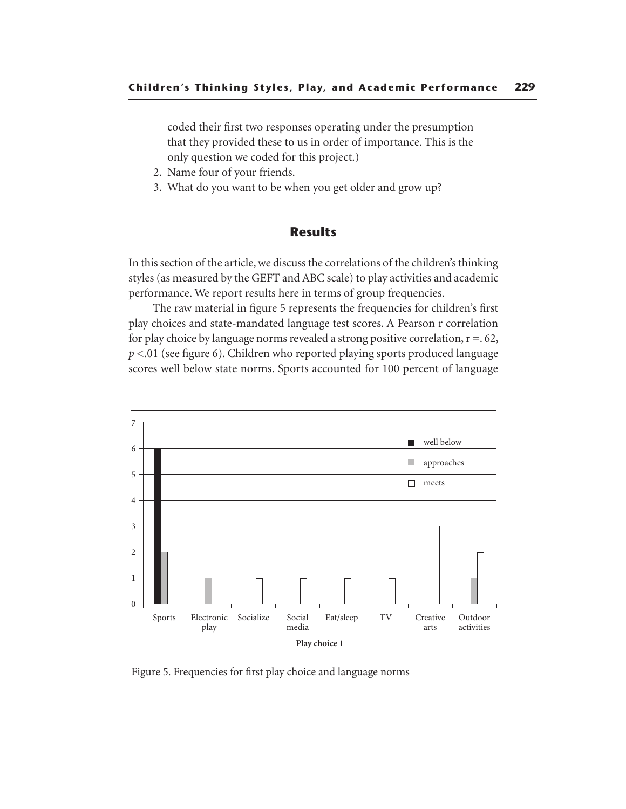coded their first two responses operating under the presumption that they provided these to us in order of importance. This is the only question we coded for this project.)

- 2. Name four of your friends.
- 3. What do you want to be when you get older and grow up?

# **Results**

In this section of the article, we discuss the correlations of the children's thinking styles (as measured by the GEFT and ABC scale) to play activities and academic performance. We report results here in terms of group frequencies.

The raw material in figure 5 represents the frequencies for children's first play choices and state-mandated language test scores. A Pearson r correlation for play choice by language norms revealed a strong positive correlation,  $r = 62$ , *p* <.01 (see figure 6). Children who reported playing sports produced language scores well below state norms. Sports accounted for 100 percent of language



Figure 5. Frequencies for first play choice and language norms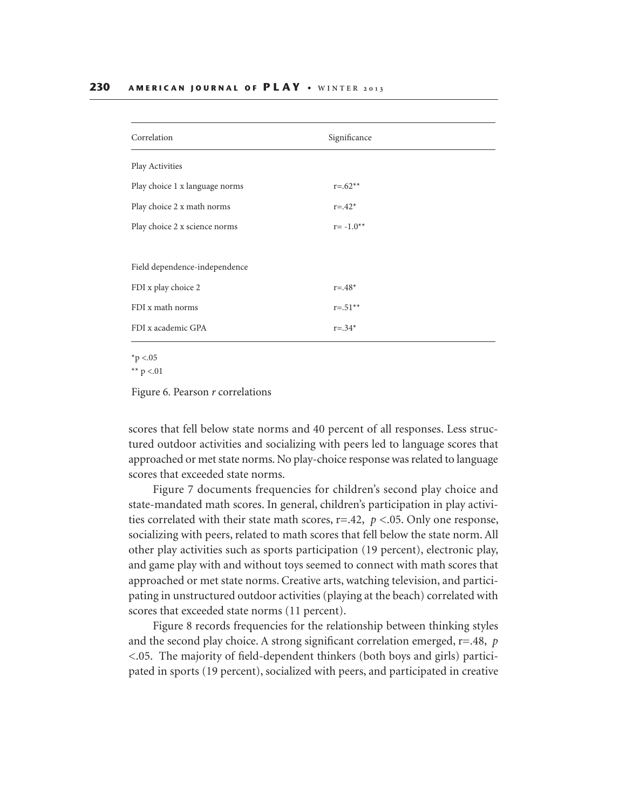| Correlation                    | Significance |  |  |
|--------------------------------|--------------|--|--|
| Play Activities                |              |  |  |
| Play choice 1 x language norms | $r = 62**$   |  |  |
| Play choice 2 x math norms     | $r = .42*$   |  |  |
| Play choice 2 x science norms  | $r = -1.0**$ |  |  |
|                                |              |  |  |
| Field dependence-independence  |              |  |  |
| FDI x play choice 2            | $r = .48*$   |  |  |
| FDI x math norms               | $r = .51**$  |  |  |
| FDI x academic GPA             | $r = .34*$   |  |  |

 $*_{p}$  <.05

\*\*  $p < 01$ 

Figure 6. Pearson r correlations

scores that fell below state norms and 40 percent of all responses. Less structured outdoor activities and socializing with peers led to language scores that approached or met state norms. No play-choice response was related to language scores that exceeded state norms.

Figure 7 documents frequencies for children's second play choice and state-mandated math scores. In general, children's participation in play activities correlated with their state math scores, r=.42, *p* <.05. Only one response, socializing with peers, related to math scores that fell below the state norm. All other play activities such as sports participation (19 percent), electronic play, and game play with and without toys seemed to connect with math scores that approached or met state norms. Creative arts, watching television, and participating in unstructured outdoor activities (playing at the beach) correlated with scores that exceeded state norms (11 percent).

Figure 8 records frequencies for the relationship between thinking styles and the second play choice. A strong significant correlation emerged, r=.48, *p* <.05. The majority of field-dependent thinkers (both boys and girls) participated in sports (19 percent), socialized with peers, and participated in creative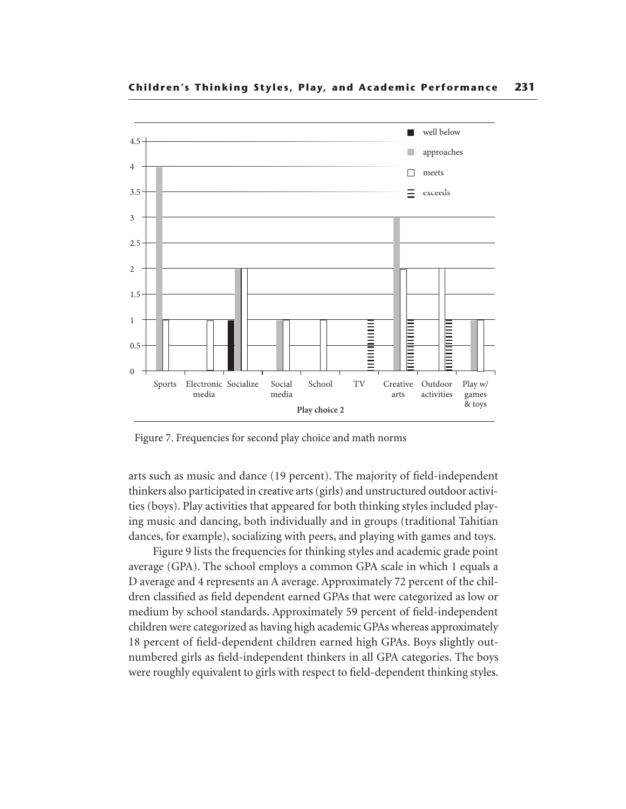

Figure 7. Frequencies for second play choice and math norms

arts such as music and dance (19 percent). The majority of field-independent thinkers also participated in creative arts (girls) and unstructured outdoor activities (boys). Play activities that appeared for both thinking styles included playing music and dancing, both individually and in groups (traditional Tahitian dances, for example), socializing with peers, and playing with games and toys.

Figure 9 lists the frequencies for thinking styles and academic grade point average (GPA). The school employs a common GPA scale in which 1 equals a D average and 4 represents an A average. Approximately 72 percent of the children classified as field dependent earned GPAs that were categorized as low or medium by school standards. Approximately 59 percent of field-independent children were categorized as having high academic GPAs whereas approximately 18 percent of field-dependent children earned high GPAs. Boys slightly outnumbered girls as field-independent thinkers in all GPA categories. The boys were roughly equivalent to girls with respect to field-dependent thinking styles.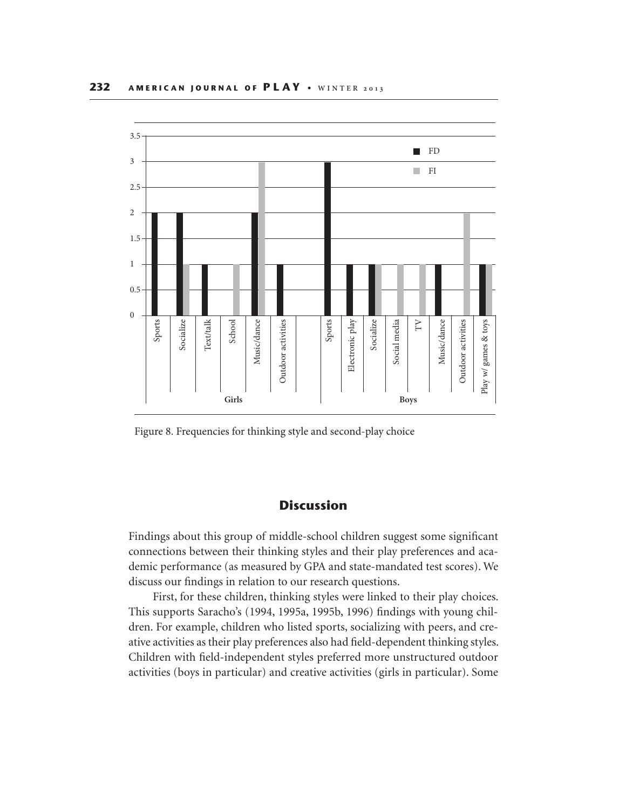

Figure 8. Frequencies for thinking style and second-play choice

# **Discussion**

Findings about this group of middle-school children suggest some significant connections between their thinking styles and their play preferences and academic performance (as measured by GPA and state-mandated test scores). We discuss our findings in relation to our research questions.

First, for these children, thinking styles were linked to their play choices. This supports Saracho's (1994, 1995a, 1995b, 1996) findings with young children. For example, children who listed sports, socializing with peers, and creative activities as their play preferences also had field-dependent thinking styles. Children with field-independent styles preferred more unstructured outdoor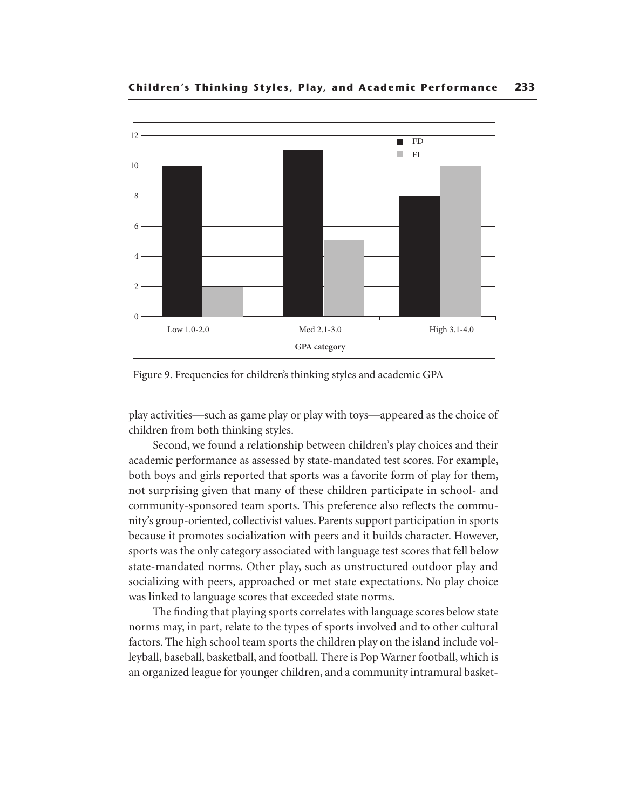

Figure 9. Frequencies for children's thinking styles and academic GPA

play activities—such as game play or play with toys—appeared as the choice of children from both thinking styles.

Second, we found a relationship between children's play choices and their academic performance as assessed by state-mandated test scores. For example, both boys and girls reported that sports was a favorite form of play for them, not surprising given that many of these children participate in school- and community-sponsored team sports. This preference also reflects the community's group-oriented, collectivist values. Parents support participation in sports because it promotes socialization with peers and it builds character. However, sports was the only category associated with language test scores that fell below state-mandated norms. Other play, such as unstructured outdoor play and socializing with peers, approached or met state expectations. No play choice was linked to language scores that exceeded state norms.

The finding that playing sports correlates with language scores below state norms may, in part, relate to the types of sports involved and to other cultural factors. The high school team sports the children play on the island include volleyball, baseball, basketball, and football. There is Pop Warner football, which is an organized league for younger children, and a community intramural basket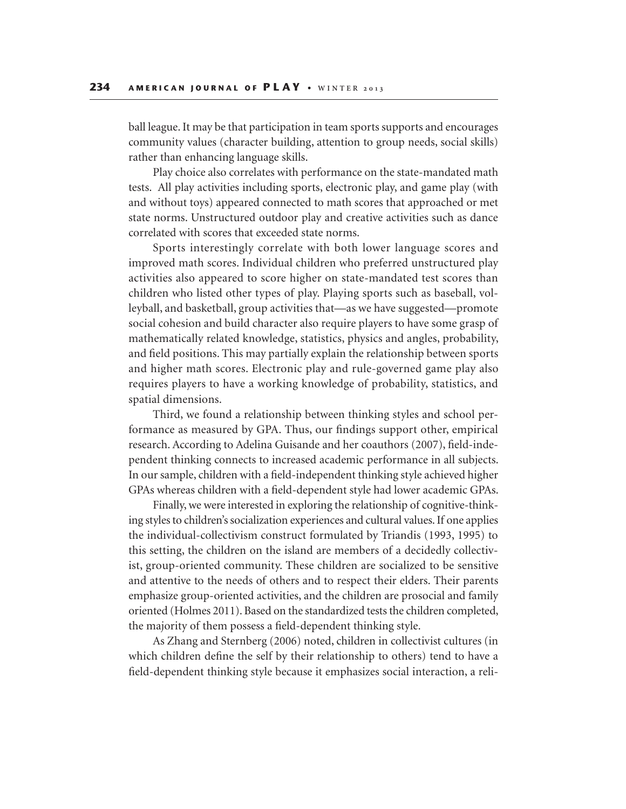ball league. It may be that participation in team sports supports and encourages community values (character building, attention to group needs, social skills) rather than enhancing language skills.

Play choice also correlates with performance on the state-mandated math tests. All play activities including sports, electronic play, and game play (with and without toys) appeared connected to math scores that approached or met state norms. Unstructured outdoor play and creative activities such as dance correlated with scores that exceeded state norms.

Sports interestingly correlate with both lower language scores and improved math scores. Individual children who preferred unstructured play activities also appeared to score higher on state-mandated test scores than children who listed other types of play. Playing sports such as baseball, volleyball, and basketball, group activities that—as we have suggested—promote social cohesion and build character also require players to have some grasp of mathematically related knowledge, statistics, physics and angles, probability, and field positions. This may partially explain the relationship between sports and higher math scores. Electronic play and rule-governed game play also requires players to have a working knowledge of probability, statistics, and spatial dimensions.

Third, we found a relationship between thinking styles and school performance as measured by GPA. Thus, our findings support other, empirical research. According to Adelina Guisande and her coauthors (2007), field-independent thinking connects to increased academic performance in all subjects. In our sample, children with a field-independent thinking style achieved higher GPAs whereas children with a field-dependent style had lower academic GPAs.

Finally, we were interested in exploring the relationship of cognitive-thinking styles to children's socialization experiences and cultural values. If one applies the individual-collectivism construct formulated by Triandis (1993, 1995) to this setting, the children on the island are members of a decidedly collectivist, group-oriented community. These children are socialized to be sensitive and attentive to the needs of others and to respect their elders. Their parents emphasize group-oriented activities, and the children are prosocial and family oriented (Holmes 2011). Based on the standardized tests the children completed, the majority of them possess a field-dependent thinking style.

As Zhang and Sternberg (2006) noted, children in collectivist cultures (in which children define the self by their relationship to others) tend to have a field-dependent thinking style because it emphasizes social interaction, a reli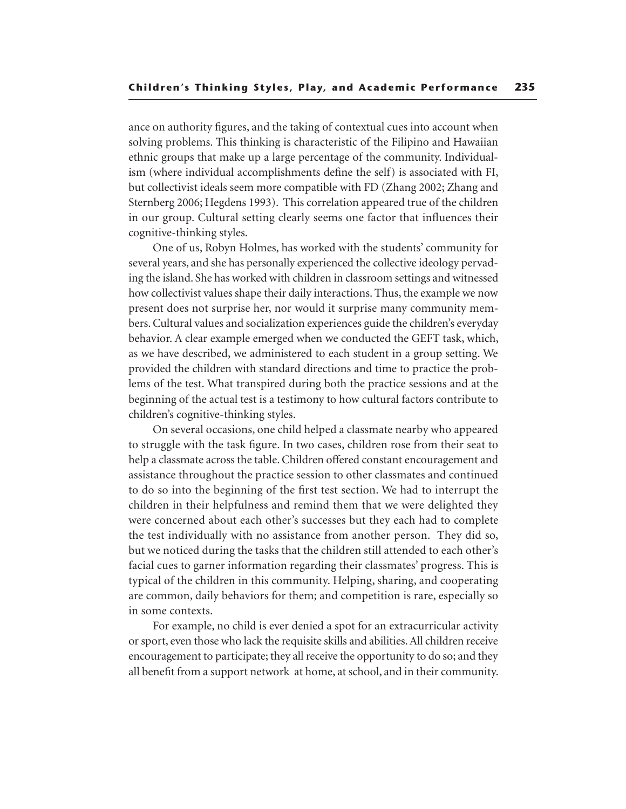ance on authority figures, and the taking of contextual cues into account when solving problems. This thinking is characteristic of the Filipino and Hawaiian ethnic groups that make up a large percentage of the community. Individualism (where individual accomplishments define the self) is associated with FI, but collectivist ideals seem more compatible with FD (Zhang 2002; Zhang and Sternberg 2006; Hegdens 1993). This correlation appeared true of the children in our group. Cultural setting clearly seems one factor that influences their cognitive-thinking styles.

One of us, Robyn Holmes, has worked with the students' community for several years, and she has personally experienced the collective ideology pervading the island. She has worked with children in classroom settings and witnessed how collectivist values shape their daily interactions. Thus, the example we now present does not surprise her, nor would it surprise many community members. Cultural values and socialization experiences guide the children's everyday behavior. A clear example emerged when we conducted the GEFT task, which, as we have described, we administered to each student in a group setting. We provided the children with standard directions and time to practice the problems of the test. What transpired during both the practice sessions and at the beginning of the actual test is a testimony to how cultural factors contribute to children's cognitive-thinking styles.

On several occasions, one child helped a classmate nearby who appeared to struggle with the task figure. In two cases, children rose from their seat to help a classmate across the table. Children offered constant encouragement and assistance throughout the practice session to other classmates and continued to do so into the beginning of the first test section. We had to interrupt the children in their helpfulness and remind them that we were delighted they were concerned about each other's successes but they each had to complete the test individually with no assistance from another person. They did so, but we noticed during the tasks that the children still attended to each other's facial cues to garner information regarding their classmates' progress. This is typical of the children in this community. Helping, sharing, and cooperating are common, daily behaviors for them; and competition is rare, especially so in some contexts.

For example, no child is ever denied a spot for an extracurricular activity or sport, even those who lack the requisite skills and abilities. All children receive encouragement to participate; they all receive the opportunity to do so; and they all benefit from a support network at home, at school, and in their community.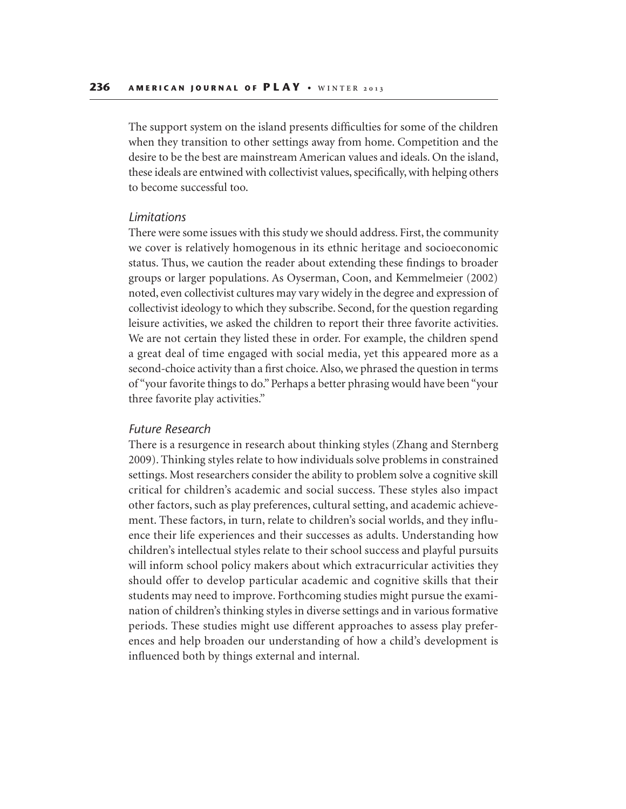The support system on the island presents difficulties for some of the children when they transition to other settings away from home. Competition and the desire to be the best are mainstream American values and ideals. On the island, these ideals are entwined with collectivist values, specifically, with helping others to become successful too.

#### *Limitations*

There were some issues with this study we should address. First, the community we cover is relatively homogenous in its ethnic heritage and socioeconomic status. Thus, we caution the reader about extending these findings to broader groups or larger populations. As Oyserman, Coon, and Kemmelmeier (2002) noted, even collectivist cultures may vary widely in the degree and expression of collectivist ideology to which they subscribe. Second, for the question regarding leisure activities, we asked the children to report their three favorite activities. We are not certain they listed these in order. For example, the children spend a great deal of time engaged with social media, yet this appeared more as a second-choice activity than a first choice. Also, we phrased the question in terms of "your favorite things to do." Perhaps a better phrasing would have been "your three favorite play activities."

#### *Future Research*

There is a resurgence in research about thinking styles (Zhang and Sternberg 2009). Thinking styles relate to how individuals solve problems in constrained settings. Most researchers consider the ability to problem solve a cognitive skill critical for children's academic and social success. These styles also impact other factors, such as play preferences, cultural setting, and academic achievement. These factors, in turn, relate to children's social worlds, and they influence their life experiences and their successes as adults. Understanding how children's intellectual styles relate to their school success and playful pursuits will inform school policy makers about which extracurricular activities they should offer to develop particular academic and cognitive skills that their students may need to improve. Forthcoming studies might pursue the examination of children's thinking styles in diverse settings and in various formative periods. These studies might use different approaches to assess play preferences and help broaden our understanding of how a child's development is influenced both by things external and internal.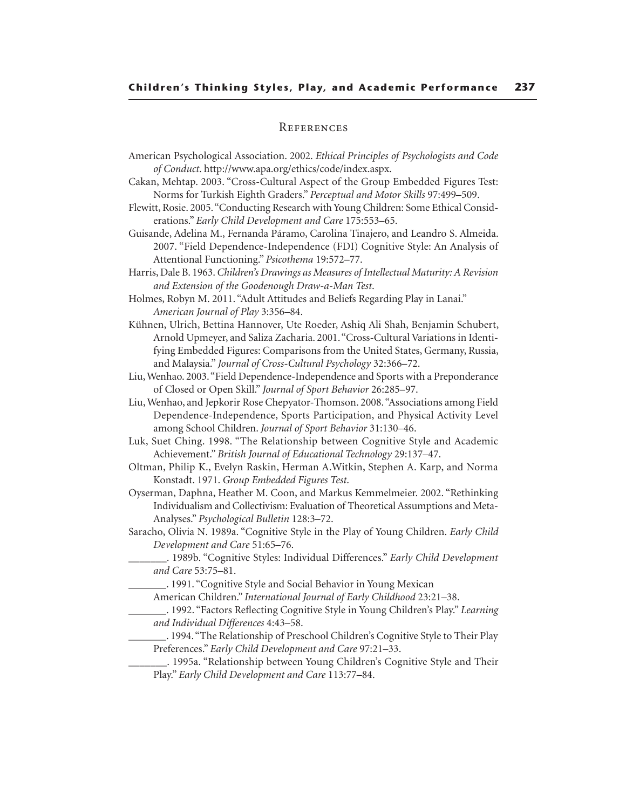#### **REFERENCES**

- American Psychological Association. 2002. *Ethical Principles of Psychologists and Code of Conduct*. http://www.apa.org/ethics/code/index.aspx.
- Cakan, Mehtap. 2003. "Cross-Cultural Aspect of the Group Embedded Figures Test: Norms for Turkish Eighth Graders." *Perceptual and Motor Skills* 97:499–509.
- Flewitt, Rosie. 2005. "Conducting Research with Young Children: Some Ethical Considerations." *Early Child Development and Care* 175:553–65.
- Guisande, Adelina M., Fernanda Páramo, Carolina Tinajero, and Leandro S. Almeida. 2007. "Field Dependence-Independence (FDI) Cognitive Style: An Analysis of Attentional Functioning." *Psicothema* 19:572–77.
- Harris, Dale B. 1963. *Children's Drawings as Measures of Intellectual Maturity: A Revision and Extension of the Goodenough Draw-a-Man Test*.
- Holmes, Robyn M. 2011. "Adult Attitudes and Beliefs Regarding Play in Lanai." *American Journal of Play* 3:356–84.
- Kühnen, Ulrich, Bettina Hannover, Ute Roeder, Ashiq Ali Shah, Benjamin Schubert, Arnold Upmeyer, and Saliza Zacharia. 2001. "Cross-Cultural Variations in Identifying Embedded Figures: Comparisons from the United States, Germany, Russia, and Malaysia." *Journal of Cross-Cultural Psychology* 32:366–72.
- Liu, Wenhao. 2003. "Field Dependence-Independence and Sports with a Preponderance of Closed or Open Skill." *Journal of Sport Behavior* 26:285–97.
- Liu, Wenhao, and Jepkorir Rose Chepyator-Thomson. 2008. "Associations among Field Dependence-Independence, Sports Participation, and Physical Activity Level among School Children. *Journal of Sport Behavior* 31:130–46.
- Luk, Suet Ching. 1998. "The Relationship between Cognitive Style and Academic Achievement." *British Journal of Educational Technology* 29:137–47.
- Oltman, Philip K., Evelyn Raskin, Herman A.Witkin, Stephen A. Karp, and Norma Konstadt. 1971. *Group Embedded Figures Test*.
- Oyserman, Daphna, Heather M. Coon, and Markus Kemmelmeier. 2002. "Rethinking Individualism and Collectivism: Evaluation of Theoretical Assumptions and Meta-Analyses." *Psychological Bulletin* 128:3–72.
- Saracho, Olivia N. 1989a. "Cognitive Style in the Play of Young Children. *Early Child Development and Care* 51:65–76.
- \_\_\_\_\_\_\_. 1989b. "Cognitive Styles: Individual Differences." *Early Child Development and Care* 53:75–81.
	- \_\_\_\_\_\_\_. 1991. "Cognitive Style and Social Behavior in Young Mexican
	- American Children." *International Journal of Early Childhood* 23:21–38.
- \_\_\_\_\_\_\_. 1992. "Factors Reflecting Cognitive Style in Young Children's Play." *Learning and Individual Differences* 4:43–58.
	- \_\_\_\_\_\_\_. 1994. "The Relationship of Preschool Children's Cognitive Style to Their Play Preferences." *Early Child Development and Care* 97:21–33.
	- \_\_\_\_\_\_\_. 1995a. "Relationship between Young Children's Cognitive Style and Their Play." *Early Child Development and Care* 113:77–84.